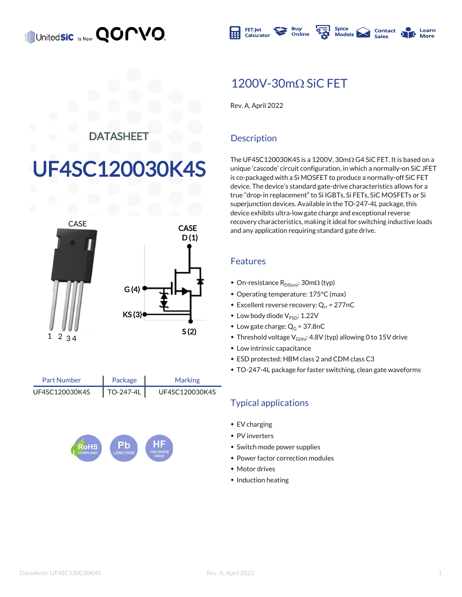

## $1200V - 30m\Omega$  SiC FET

Rev. A, April 2022

## **DATASHEET**

# UF4SC120030K4S



Package TO-247-4L Part Number Marking UF4SC120030K4S | TO-247-4L | UF4SC120030K4S



## **Description**

The UF4SC120030K4S is a 1200V,  $30 \text{m}\Omega$  G4 SiC FET. It is based on a unique 'cascode' circuit configuration, in which a normally-on SiC JFET is co-packaged with a Si MOSFET to produce a normally-off SiC FET device. The device's standard gate-drive characteristics allows for a true "drop-in replacement" to Si IGBTs, Si FETs, SiC MOSFETs or Si superjunction devices. Available in the TO-247-4L package, this device exhibits ultra-low gate charge and exceptional reverse recovery characteristics, making it ideal for switching inductive loads and any application requiring standard gate drive.

#### Features

- On-resistance  $R_{DS(on)}$ : 30m $\Omega$  (typ)
- Operating temperature: 175°C (max)
- **Excellent reverse recovery: Q<sub>rr</sub> = 277nC**
- $\bullet$  Low body diode  $V_{\text{FSD}}$ : 1.22V
- $\bullet$  Low gate charge:  $Q_G = 37.8nC$
- $\bullet$  Threshold voltage V<sub>G(th)</sub>: 4.8V (typ) allowing 0 to 15V drive
- $\bullet$  Low intrinsic capacitance
- $\bullet$  ESD protected: HBM class 2 and CDM class C3
- \* TO-247-4L package for faster switching, clean gate waveforms

## Typical applications

- $\cdot$  EV charging
- $\bullet$  PV inverters
- Switch mode power supplies
- Power factor correction modules
- Motor drives
- $\bullet$  Induction heating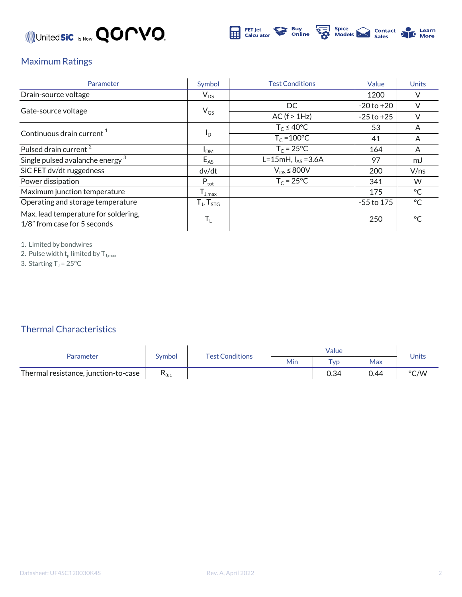



## Maximum Ratings

| Parameter                                                            | Symbol                  | <b>Test Conditions</b>  | Value          | <b>Units</b> |
|----------------------------------------------------------------------|-------------------------|-------------------------|----------------|--------------|
| Drain-source voltage                                                 | $V_{DS}$                |                         | 1200           |              |
|                                                                      | $V_{GS}$                | DC.                     | $-20$ to $+20$ |              |
| Gate-source voltage                                                  |                         | AC (f > 1Hz)            | $-25$ to $+25$ |              |
| Continuous drain current <sup>1</sup>                                |                         | $T_c \leq 40^{\circ}$ C | 53             | A            |
|                                                                      | $I_{\rm D}$             | $T_c = 100$ °C          | 41             | A            |
| Pulsed drain current <sup>2</sup>                                    | I <sub>DM</sub>         | $T_c = 25^{\circ}C$     | 164            | A            |
| Single pulsed avalanche energy <sup>3</sup>                          | $E_{AS}$                | L=15mH, $I_{AS}$ =3.6A  | 97             | mJ           |
| SiC FET dv/dt ruggedness                                             | dv/dt                   | $V_{DS}$ $\leq$ 800V    | 200            | V/ns         |
| Power dissipation                                                    | $P_{\text{tot}}$        | $T_c = 25^{\circ}C$     | 341            | W            |
| Maximum junction temperature                                         | $I_{J,max}$             |                         | 175            | $^{\circ}$ C |
| Operating and storage temperature                                    | $T_{J}$ , $T_{STG}$     |                         | $-55$ to 175   | $^{\circ}$ C |
| Max. lead temperature for soldering,<br>1/8" from case for 5 seconds | $\mathsf{T}_\mathsf{L}$ |                         | 250            | $\circ$      |

1. Limited by bondwires

2. Pulse width  $\mathsf{t}_\mathsf{p}$  limited by  $\mathsf{T}_{\mathsf{J},\mathsf{max}}$ 

3. Starting  $T_J = 25^{\circ}C$ 

Thermal Characteristics

| Parameter                            | Symbol         | <b>Test Conditions</b> | Value |             |      | Units |
|--------------------------------------|----------------|------------------------|-------|-------------|------|-------|
|                                      |                |                        | Min   | $\tau_{VD}$ | Max  |       |
| Thermal resistance, junction-to-case | $R_{\theta$ JC |                        |       | 0.34        | 0.44 | °C/W  |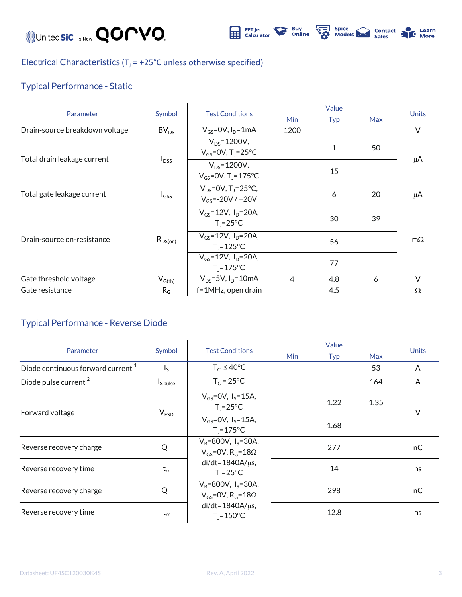Unitedsic Is Now **QOMVO** 



Electrical Characteristics ( $T_J$  = +25°C unless otherwise specified)

## Typical Performance - Static

| Parameter                      | Symbol           | <b>Test Conditions</b>                                          | Value      |     |            |              |
|--------------------------------|------------------|-----------------------------------------------------------------|------------|-----|------------|--------------|
|                                |                  |                                                                 | <b>Min</b> | Typ | <b>Max</b> | <b>Units</b> |
| Drain-source breakdown voltage | BV <sub>DS</sub> | $V_{GS}$ =0V, $I_D$ =1mA                                        | 1200       |     |            | V            |
| Total drain leakage current    | $I_{DSS}$        | $V_{DS} = 1200V,$<br>$V_{GS}$ =0V, T <sub>J</sub> =25°C         |            | 1   | 50         | μA           |
|                                |                  | $V_{DS} = 1200V,$<br>$V_{GS} = 0V$ , T <sub>J</sub> =175°C      |            | 15  |            |              |
| Total gate leakage current     | $I_{GSS}$        | $V_{DS} = 0V$ , T <sub>1</sub> =25°C,<br>$V_{GS} = -20V / +20V$ |            | 6   | 20         | μA           |
| Drain-source on-resistance     | $R_{DS(on)}$     | $V_{GS} = 12V$ , $I_D = 20A$ ,<br>$T_i = 25^{\circ}C$           |            | 30  | 39         | $m\Omega$    |
|                                |                  | $V_{GS} = 12V$ , $I_D = 20A$ ,<br>$T_i = 125$ °C                |            | 56  |            |              |
|                                |                  | $V_{GS} = 12V$ , $I_{D} = 20A$ ,<br>$T_i = 175$ °C              |            | 77  |            |              |
| Gate threshold voltage         | $V_{G(th)}$      | $V_{DS} = 5V$ , $I_D = 10mA$                                    | 4          | 4.8 | 6          | V            |
| Gate resistance                | $R_G$            | f=1MHz, open drain                                              |            | 4.5 |            | $\Omega$     |

### Typical Performance - Reverse Diode

| Parameter                                     | Symbol                  | <b>Test Conditions</b>                                                    | Value      |      |            |              |
|-----------------------------------------------|-------------------------|---------------------------------------------------------------------------|------------|------|------------|--------------|
|                                               |                         |                                                                           | <b>Min</b> | Typ  | <b>Max</b> | <b>Units</b> |
| Diode continuous forward current <sup>1</sup> | $\mathsf{I}_\mathsf{S}$ | $T_c \leq 40^{\circ}$ C                                                   |            |      | 53         | A            |
| Diode pulse current <sup>2</sup>              | $I_{S,pulse}$           | $T_c = 25^{\circ}C$                                                       |            |      | 164        | A            |
| Forward voltage                               | V <sub>FSD</sub>        | $V_{GS} = OV, I_S = 15A,$<br>$T_i = 25^{\circ}C$                          |            | 1.22 | 1.35       | V            |
|                                               |                         | $V_{GS} = 0V$ , $I_S = 15A$ ,<br>$T_i = 175^{\circ}C$                     |            | 1.68 |            |              |
| Reverse recovery charge                       | $Q_{rr}$                | $V_R = 800V$ , $I_S = 30A$ ,<br>$V_{GS}$ =0V, R <sub>G</sub> =18 $\Omega$ |            | 277  |            | nC.          |
| Reverse recovery time                         | $t_{rr}$                | $di/dt = 1840A/\mu s$ ,<br>$T_1 = 25^{\circ}C$                            |            | 14   |            | ns           |
| Reverse recovery charge                       | $Q_{rr}$                | $V_R = 800V$ , $I_S = 30A$ ,<br>$V_{GS}$ =0V, R <sub>G</sub> =18 $\Omega$ |            | 298  |            | nC           |
| Reverse recovery time                         | $t_{rr}$                | $di/dt = 1840A/\mu s$ ,<br>$T_i = 150^{\circ}C$                           |            | 12.8 |            | ns           |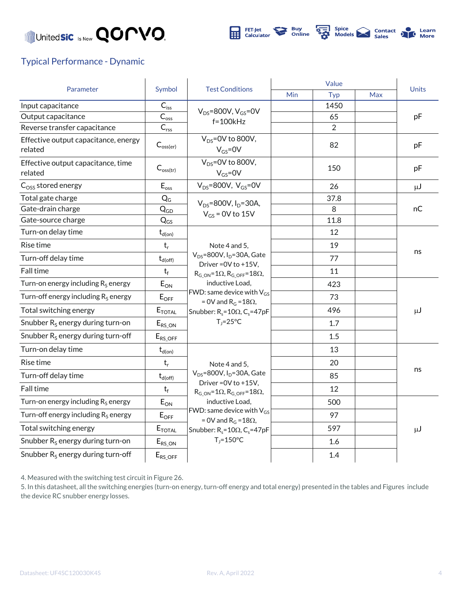



### Typical Performance - Dynamic

|                                                 | Symbol                      | <b>Test Conditions</b>                                                                                                                                                                                                                                                            | Value |                |            | <b>Units</b> |
|-------------------------------------------------|-----------------------------|-----------------------------------------------------------------------------------------------------------------------------------------------------------------------------------------------------------------------------------------------------------------------------------|-------|----------------|------------|--------------|
| Parameter                                       |                             |                                                                                                                                                                                                                                                                                   | Min   | Typ            | <b>Max</b> |              |
| Input capacitance                               | $C_{\mathsf{iss}}$          | $V_{DS}$ =800V, $V_{GS}$ =0V<br>$f=100kHz$                                                                                                                                                                                                                                        |       | 1450           |            |              |
| Output capacitance                              | $\overline{C}_{\text{oss}}$ |                                                                                                                                                                                                                                                                                   |       | 65             |            | pF           |
| Reverse transfer capacitance                    | $C_{rs\underline{s}}$       |                                                                                                                                                                                                                                                                                   |       | $\overline{2}$ |            |              |
| Effective output capacitance, energy<br>related | $C_{\text{oss(er)}}$        | $V_{DS}$ =0V to 800V,<br>$V_{GS} = 0V$                                                                                                                                                                                                                                            |       | 82             |            | pF           |
| Effective output capacitance, time<br>related   | $C_{\text{oss(tr)}}$        | $V_{DS} = 0V$ to 800V,<br>$V_{GS} = 0V$                                                                                                                                                                                                                                           |       | 150            |            | pF           |
| $Coss$ stored energy                            | $E_{\text{oss}}$            | $V_{DS}$ =800V, $V_{GS}$ =0V                                                                                                                                                                                                                                                      |       | 26             |            | $\mu$ J      |
| Total gate charge                               | $Q_G$                       | $V_{DS} = 800V, I_D = 30A,$                                                                                                                                                                                                                                                       |       | 37.8           |            | пC           |
| Gate-drain charge                               | $Q_{GD}$                    | $V_{GS}$ = 0V to 15V                                                                                                                                                                                                                                                              |       | 8              |            |              |
| Gate-source charge                              | $Q_{GS}$                    |                                                                                                                                                                                                                                                                                   |       | 11.8           |            |              |
| Turn-on delay time                              | $t_{d(on)}$                 |                                                                                                                                                                                                                                                                                   |       | 12             |            | ns           |
| Rise time                                       | $t_r$                       | Note 4 and 5,                                                                                                                                                                                                                                                                     |       | 19             |            |              |
| Turn-off delay time                             | $t_{d(\rm off)}$            | $V_{DS}$ =800V, I <sub>D</sub> =30A, Gate<br>Driver = 0V to +15V,                                                                                                                                                                                                                 |       | 77             |            |              |
| Fall time                                       | $t_f$                       | $R_{G ON} = 1\Omega$ , $R_{G OFF} = 18\Omega$ ,                                                                                                                                                                                                                                   |       | 11             |            |              |
| Turn-on energy including $R_S$ energy           | $E_{ON}$                    | inductive Load.<br>FWD: same device with $V_{GS}$<br>= 0V and $R_G = 18\Omega$ ,<br>Snubber: $R_s = 10\Omega$ , C <sub>s</sub> =47pF<br>$T_i = 25^{\circ}C$                                                                                                                       |       | 423            |            | $\mu$ J      |
| Turn-off energy including $R_s$ energy          | $E_{OFF}$                   |                                                                                                                                                                                                                                                                                   |       | 73             |            |              |
| Total switching energy                          | $E_{\text{TOTAL}}$          |                                                                                                                                                                                                                                                                                   |       | 496            |            |              |
| Snubber $R_s$ energy during turn-on             | $E_{RS\_ON}$                |                                                                                                                                                                                                                                                                                   |       | 1.7            |            |              |
| Snubber $R_s$ energy during turn-off            | $E_{RS\_OFF}$               |                                                                                                                                                                                                                                                                                   |       | 1.5            |            |              |
| Turn-on delay time                              | $t_{d(on)}$                 | Note 4 and 5.<br>$V_{DS}$ =800V, I <sub>D</sub> =30A, Gate<br>Driver = 0V to +15V,<br>$R_{G ON} = 1\Omega$ , $R_{G OFF} = 18\Omega$ ,<br>inductive Load.<br>FWD: same device with $\rm V_{GS}$<br>= 0V and $R_G = 18\Omega$ ,<br>Snubber: $R_s = 10\Omega$ , C <sub>s</sub> =47pF |       | 13             |            |              |
| Rise time                                       | $t_r$                       |                                                                                                                                                                                                                                                                                   |       | 20             |            | ns           |
| Turn-off delay time                             | $t_{d(\rm off)}$            |                                                                                                                                                                                                                                                                                   |       | 85             |            |              |
| Fall time                                       | $t_f$                       |                                                                                                                                                                                                                                                                                   |       | 12             |            |              |
| Turn-on energy including $R_S$ energy           | $E_{ON}$                    |                                                                                                                                                                                                                                                                                   |       | 500            |            |              |
| Turn-off energy including $R_s$ energy          | $\mathsf{E}_{\mathsf{OFF}}$ |                                                                                                                                                                                                                                                                                   |       | 97             |            | μJ           |
| Total switching energy                          | $E_{\text{TOTAL}}$          |                                                                                                                                                                                                                                                                                   |       | 597            |            |              |
| Snubber $R_s$ energy during turn-on             | $E_{RS\_ON}$                | $T_i = 150^{\circ}C$                                                                                                                                                                                                                                                              |       | 1.6            |            |              |
| Snubber $R_s$ energy during turn-off            | $E_{RS\_OFF}$               |                                                                                                                                                                                                                                                                                   |       | 1.4            |            |              |

4. Measured with the switching test circuit in Figure 26.

5. In this datasheet, all the switching energies (turn-on energy, turn-off energy and total energy) presented in the tables and Figures include the device RC snubber energy losses.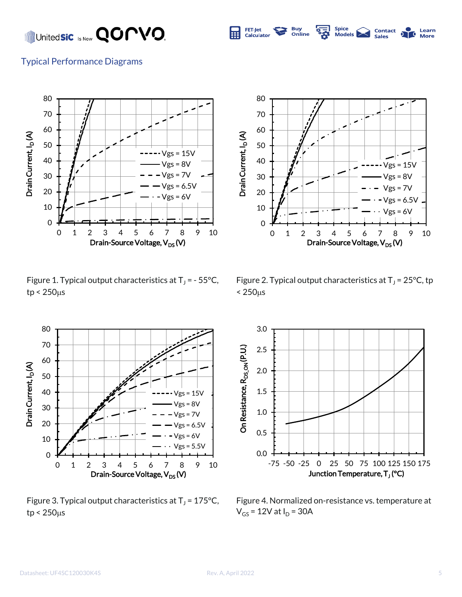## United**sic** Is Now **QOMVO**.





Figure 1. Typical output characteristics at  $T_J$  = - 55°C,  $tp < 250 \mu s$ 



Figure 3. Typical output characteristics at  $T_J$  = 175°C,  $tp < 250 \mu s$ 



Spice<br>Models |

**Contact** 

Learn

**Buy**<br>Online

**FET-Jet** 

Calculator

屈

Figure 2. Typical output characteristics at  $T_J$  = 25°C, tp  $< 250<sub>µ</sub>s$ 



Figure 4. Normalized on-resistance vs. temperature at  $V_{GS}$  = 12V at  $I_D$  = 30A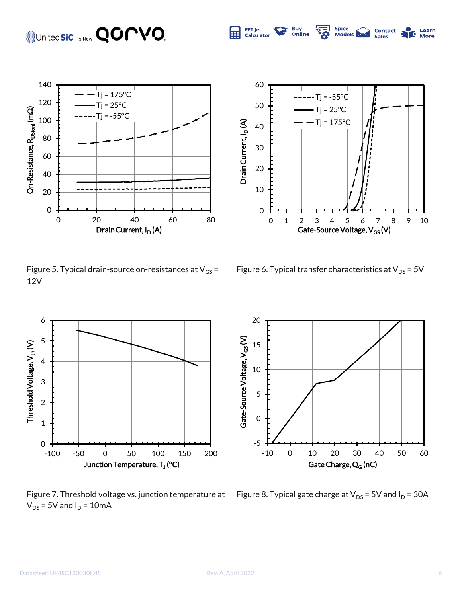## Unitedsic **Is Now QOPVO.**





Spice<br>Models

**Contact**<br>Sales

Learn

**More** 

FET-Jet<br>Calculator

屈

**Buy**<br>Online

Figure 5. Typical drain-source on-resistances at  $V_{GS}$  = 12V

Figure 6. Typical transfer characteristics at  $V_{DS}$  = 5V



 $V_{DS}$  = 5V and  $I_D$  = 10mA



Figure 7. Threshold voltage vs. junction temperature at  $-$  Figure 8. Typical gate charge at V $_{\rm{DS}}$  = 5V and I $_{\rm{D}}$  = 30A

#### Datasheet: UF4SC120030K4S Rev. A, April 2022 6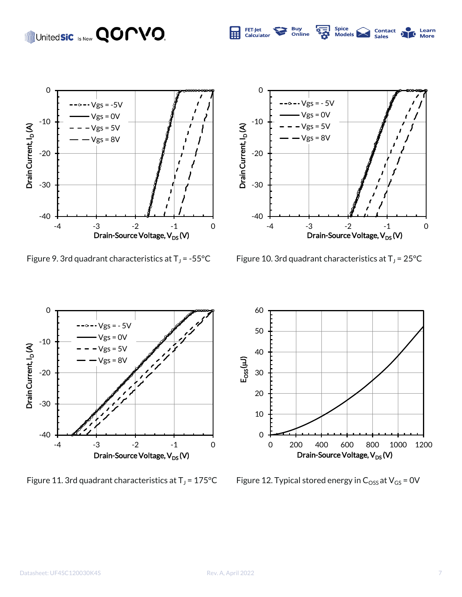## United**sic** Is Now **QOPVO**.







Spice<br>Models

Contact<br>Sales

Learn

FET-Jet<br>Calculator

屈

**Buy**<br>Online

 $= -55^{\circ}$ C Figure 10. 3rd quadrant characteristics at T<sub>J</sub> = 25 $^{\circ}$ C



Figure 11. 3rd quadrant characteristics at  $T_J$  = 175°C



Figure 12. Typical stored energy in  $C_{\text{OSS}}$  at  $V_{\text{GS}}$  = 0V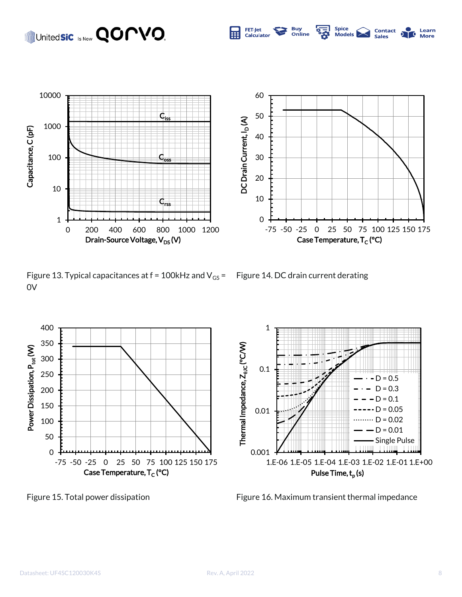## Unitedsic **Is Now QOPVO.**



Figure 13. Typical capacitances at  $f = 100$ kHz and V<sub>GS</sub> = 0V

Figure 14. DC drain current derating

1





Figure 15. Total power dissipation Figure 16. Maximum transient thermal impedance



Spice<br>Mode**l**s

**Contact**<br>Sales

Learn

**Buy**<br>Online

**FET-Jet** 

Calculato

⊞

Datasheet: UF4SC120030K4S Rev. A, April 2022 8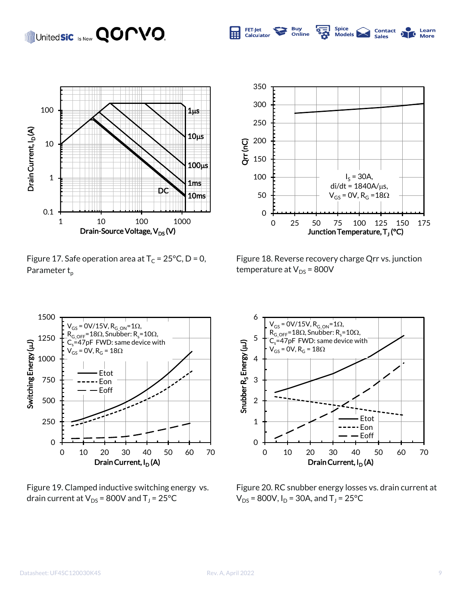## United**sic** Is Now **QOMVO**.



Figure 17. Safe operation area at  $T_c = 25^{\circ}C$ , D = 0, Parameter  $t_{p}$ 



Spice<br>Models

**Contact** 

Sales

Learn

More

T.

**Buy**<br>Online

**FET-Jet** 

Calculator

匾

Figure 18. Reverse recovery charge Qrr vs. junction temperature at  $V_{DS}$  = 800V



Figure 19. Clamped inductive switching energy vs. drain current at V $_{\text{DS}}$  = 800V and T $_{\text{J}}$  = 25°C



Figure 20. RC snubber energy losses vs. drain current at  $V_{DS}$  = 800V, I<sub>D</sub> = 30A, and T<sub>J</sub> = 25°C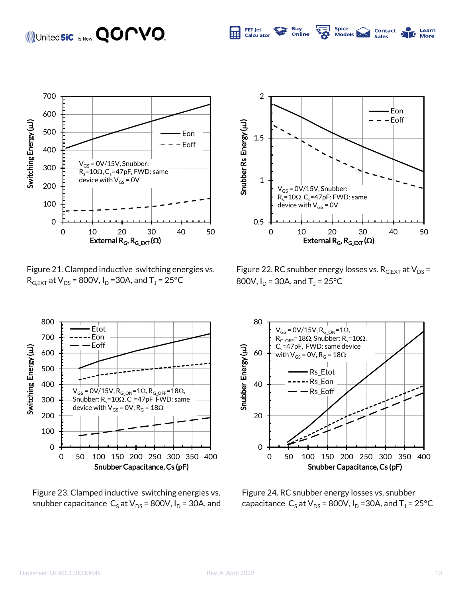## United**sic** Is Now **QOMVO**



Figure 21. Clamped inductive switching energies vs.  $R_{G,EXT}$  at  $V_{DS}$  = 800V, I<sub>D</sub> =30A, and T<sub>J</sub> = 25°C



Spice<br>Models |

**Contact** 

Learn

**More** 

70

**Buy**<br>Online

**FET-Jet** 

**Calculator** 

屈

Figure 22. RC snubber energy losses vs.  $R_{G,EXT}$  at  $V_{DS}$  = 800V,  $I_D$  = 30A, and T<sub>J</sub> = 25°C



Figure 23. Clamped inductive switching energies vs. snubber capacitance  $C_5$  at V<sub>DS</sub> = 800V, I<sub>D</sub> = 30A, and



Figure 24. RC snubber energy losses vs. snubber capacitance  $\text{C}_\text{S}$  at V<sub>DS</sub> = 800V, I<sub>D</sub> =30A, and T<sub>J</sub> = 25°C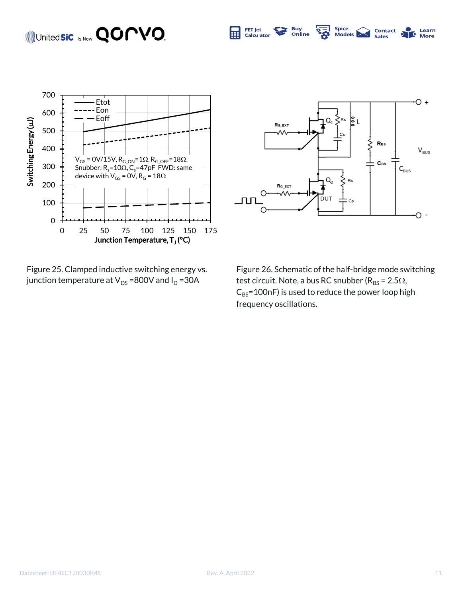#### Spice<br>Models FET-Jet<br>Calculator United**sic** Is Now **QOMVO. Buy**<br>Online **Contact**<br>Sales **Learn**<br>More 屈  $\overline{\mathbf{c}}$



Figure 25. Clamped inductive switching energy vs. junction temperature at  $V_{DS}$  =800V and  $I_D$  =30A



Figure 26. Schematic of the half-bridge mode switching test circuit. Note, a bus RC snubber ( $R_{BS}$  = 2.5 $\Omega$ ,  $C_{BS}$ =100nF) is used to reduce the power loop high frequency oscillations.